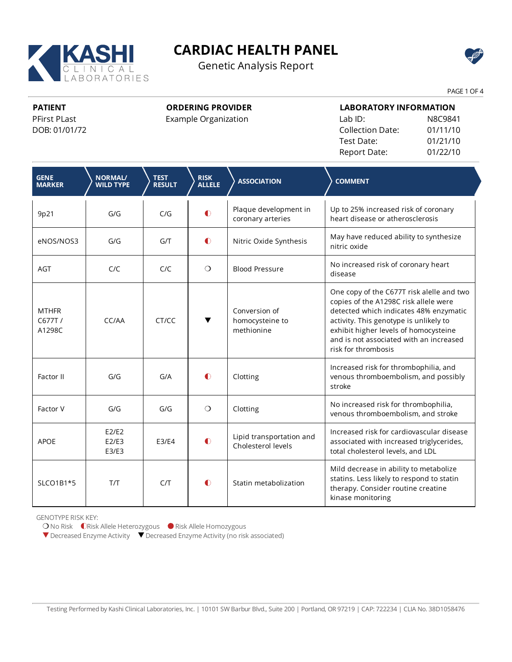

Genetic Analysis Report



PAGE 1 OF 4

**PATIENT**

PFirst PLast DOB: 01/01/72

# **ORDERING PROVIDER**

Example Organization

| <b>LABORATORY INFORMATION</b> |          |  |  |  |  |
|-------------------------------|----------|--|--|--|--|
| Lab ID:                       | N8C9841  |  |  |  |  |
| <b>Collection Date:</b>       | 01/11/10 |  |  |  |  |
| Test Date:                    | 01/21/10 |  |  |  |  |
| Report Date:                  | 01/22/10 |  |  |  |  |

| <b>GENE</b><br><b>MARKER</b>     | <b>NORMAL/</b><br><b>WILD TYPE</b> | <b>TEST</b><br><b>RESULT</b> | <b>RISK</b><br><b>ALLELE</b> | <b>ASSOCIATION</b>                             | <b>COMMENT</b>                                                                                                                                                                                                                                                                    |
|----------------------------------|------------------------------------|------------------------------|------------------------------|------------------------------------------------|-----------------------------------------------------------------------------------------------------------------------------------------------------------------------------------------------------------------------------------------------------------------------------------|
| 9p21                             | G/G                                | C/G                          | $\bullet$                    | Plaque development in<br>coronary arteries     | Up to 25% increased risk of coronary<br>heart disease or atherosclerosis                                                                                                                                                                                                          |
| eNOS/NOS3                        | G/G                                | G/T                          | $\bullet$                    | Nitric Oxide Synthesis                         | May have reduced ability to synthesize<br>nitric oxide                                                                                                                                                                                                                            |
| <b>AGT</b>                       | C/C                                | C/C                          | $\circ$                      | <b>Blood Pressure</b>                          | No increased risk of coronary heart<br>disease                                                                                                                                                                                                                                    |
| <b>MTHFR</b><br>C677T/<br>A1298C | CC/AA                              | CT/CC                        |                              | Conversion of<br>homocysteine to<br>methionine | One copy of the C677T risk alelle and two<br>copies of the A1298C risk allele were<br>detected which indicates 48% enzymatic<br>activity. This genotype is unlikely to<br>exhibit higher levels of homocysteine<br>and is not associated with an increased<br>risk for thrombosis |
| Factor II                        | G/G                                | G/A                          | $\bullet$                    | Clotting                                       | Increased risk for thrombophilia, and<br>venous thromboembolism, and possibly<br>stroke                                                                                                                                                                                           |
| Factor V                         | G/G                                | G/G                          | $\bigcirc$                   | Clotting                                       | No increased risk for thrombophilia,<br>venous thromboembolism, and stroke                                                                                                                                                                                                        |
| <b>APOE</b>                      | E2/E2<br>E2/E3<br>E3/E3            | E3/E4                        | $\bullet$                    | Lipid transportation and<br>Cholesterol levels | Increased risk for cardiovascular disease<br>associated with increased triglycerides,<br>total cholesterol levels, and LDL                                                                                                                                                        |
| SLCO1B1*5                        | T/T                                | C/T                          | $\bullet$                    | Statin metabolization                          | Mild decrease in ability to metabolize<br>statins. Less likely to respond to statin<br>therapy. Consider routine creatine<br>kinase monitoring                                                                                                                                    |

GENOTYPE RISK KEY:

O No Risk **C**Risk Allele Heterozygous ● Risk Allele Homozygous

▼ Decreased Enzyme Activity ▼ Decreased Enzyme Activity (no risk associated)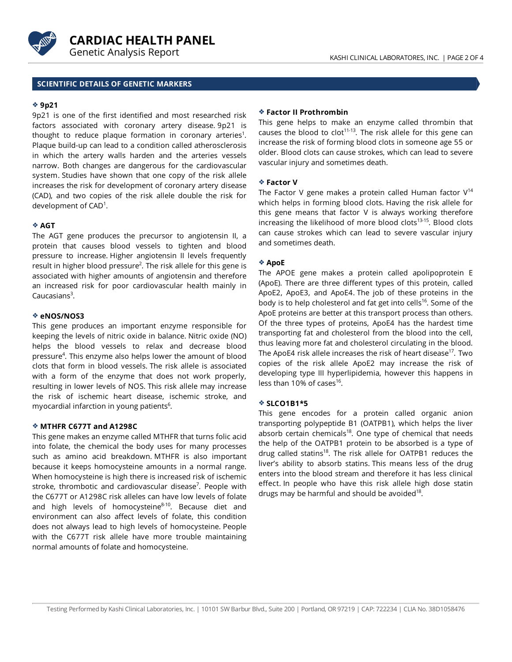



# **SCIENTIFIC DETAILS OF GENETIC MARKERS**

#### **9p21**

9p21 is one of the first identified and most researched risk factors associated with coronary artery disease. 9p21 is thought to reduce plaque formation in coronary arteries<sup>1</sup>. Plaque build-up can lead to a condition called atherosclerosis in which the artery walls harden and the arteries vessels narrow. Both changes are dangerous for the cardiovascular system. Studies have shown that one copy of the risk allele increases the risk for development of coronary artery disease (CAD), and two copies of the risk allele double the risk for development of CAD<sup>1</sup>.

# **AGT**

The AGT gene produces the precursor to angiotensin II, a protein that causes blood vessels to tighten and blood pressure to increase. Higher angiotensin II levels frequently result in higher blood pressure<sup>2</sup>. The risk allele for this gene is associated with higher amounts of angiotensin and therefore an increased risk for poor cardiovascular health mainly in Caucasians<sup>3</sup>.

#### **eNOS/NOS3**

This gene produces an important enzyme responsible for keeping the levels of nitric oxide in balance. Nitric oxide (NO) helps the blood vessels to relax and decrease blood pressure 4 . This enzyme also helps lower the amount of blood clots that form in blood vessels. The risk allele is associated with a form of the enzyme that does not work properly, resulting in lower levels of NOS. This risk allele may increase the risk of ischemic heart disease, ischemic stroke, and myocardial infarction in young patients<sup>6</sup>.

#### **MTHFR C677T and A1298C**

This gene makes an enzyme called MTHFR that turns folic acid into folate, the chemical the body uses for many processes such as amino acid breakdown. MTHFR is also important because it keeps homocysteine amounts in a normal range. When homocysteine is high there is increased risk of ischemic stroke, thrombotic and cardiovascular disease 7 . People with the C677T or A1298C risk alleles can have low levels of folate and high levels of homocysteine<sup>8-10</sup>. Because diet and environment can also affect levels of folate, this condition does not always lead to high levels of homocysteine. People with the C677T risk allele have more trouble maintaining normal amounts of folate and homocysteine.

#### **Factor II Prothrombin**

This gene helps to make an enzyme called thrombin that causes the blood to clot $11-13$ . The risk allele for this gene can increase the risk of forming blood clots in someone age 55 or older. Blood clots can cause strokes, which can lead to severe vascular injury and sometimes death.

#### **Factor V**

The Factor V gene makes a protein called Human factor  $\mathsf{V}^{14}$ which helps in forming blood clots. Having the risk allele for this gene means that factor V is always working therefore increasing the likelihood of more blood clots 13-15 . Blood clots can cause strokes which can lead to severe vascular injury and sometimes death.

# **ApoE**

The APOE gene makes a protein called apolipoprotein E (ApoE). There are three different types of this protein, called ApoE2, ApoE3, and ApoE4. The job of these proteins in the body is to help cholesterol and fat get into cells<sup>16</sup>. Some of the ApoE proteins are better at this transport process than others. Of the three types of proteins, ApoE4 has the hardest time transporting fat and cholesterol from the blood into the cell, thus leaving more fat and cholesterol circulating in the blood. The ApoE4 risk allele increases the risk of heart disease 17 . Two copies of the risk allele ApoE2 may increase the risk of developing type III hyperlipidemia, however this happens in less than 10% of cases<sup>16</sup>.

#### **SLCO1B1\*5**

This gene encodes for a protein called organic anion transporting polypeptide B1 (OATPB1), which helps the liver absorb certain chemicals<sup>18</sup>. One type of chemical that needs the help of the OATPB1 protein to be absorbed is a type of drug called statins<sup>18</sup>. The risk allele for OATPB1 reduces the liver's ability to absorb statins. This means less of the drug enters into the blood stream and therefore it has less clinical effect. In people who have this risk allele high dose statin drugs may be harmful and should be avoided<sup>18</sup>.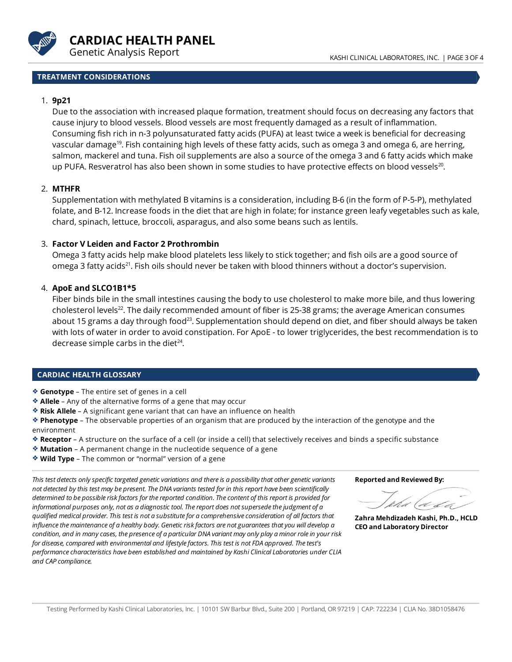

#### KASHI CLINICAL LABORATORES, INC. | PAGE 3 OF 4

# **TREATMENT CONSIDERATIONS**

# 1. **9p21**

Due to the association with increased plaque formation, treatment should focus on decreasing anyfactors that cause injuryto blood vessels. Blood vessels are most frequently damaged as a result of inflammation. Consuming fish rich in n-3 polyunsaturated fatty acids (PUFA) at least twice a week is beneficial for decreasing vascular damage<sup>19</sup>. Fish containing high levels of these fatty acids, such as omega 3 and omega 6, are herring, salmon, mackerel and tuna. Fish oil supplements are also a source of the omega 3 and 6 fatty acids which make up PUFA. Resveratrol has also been shown in some studies to have protective effects on blood vessels<sup>20</sup>.

# 2. **MTHFR**

Supplementation with methylated B vitamins is a consideration, including B-6 (in the form of P-5-P), methylated folate, and B-12. Increase foods in the diet that are high in folate; for instance green leafy vegetables such as kale, chard, spinach, lettuce, broccoli, asparagus, and also some beans such as lentils.

# 3. **Factor V Leiden and Factor 2 Prothrombin**

Omega 3 fatty acids help make blood platelets less likelyto sticktogether; and fish oils are a good source of omega 3 fatty acids<sup>21</sup>. Fish oils should never be taken with blood thinners without a doctor's supervision.

# 4. **ApoE and SLCO1B1\*5**

Fiber binds bile in the small intestines causing the body to use cholesterol to make more bile, and thus lowering cholesterol levels<sup>22</sup>. The daily recommended amount of fiber is 25-38 grams; the average American consumes about 15 grams a day through food<sup>23</sup>. Supplementation should depend on diet, and fiber should always be taken with lots of water in order to avoid constipation. For ApoE - to lower triglycerides, the best recommendation is to decrease simple carbs in the diet<sup>24</sup>.

# **CARDIAC HEALTH GLOSSARY**

**Genotype** – The entire set of genes in a cell

- **Allele** Any of the alternative forms of a gene that may occur
- **Risk Allele** A significant gene variant that can have an influence on health

**Phenotype** – The observable properties of an organism that are produced by the interaction of the genotype and the environment

- **Receptor** A structure on the surface of a cell (or inside a cell) that selectively receives and binds a specific substance
- **Mutation** A permanent change in the nucleotide sequence of a gene
- **Wild Type** The common or "normal" version of a gene

*This test detects onlyspecific targeted genetic variations and thereis a possibilitythat othergenetic variants not detected bythis testmay be present.The DNA variants tested for in this report have been scientifically determined to be possibleriskfactors for thereported condition.Thecontent of this report is provided for informational purposes only, not as a diagnostic tool.Thereport does notsupersedethejudgment of a qualified medical provider.This test is not a substitutefor a comprehensiveconsideration of all factors that influencethemaintenance of a healthy body. Genetic riskfactors are notguarantees thatyou will develop a* condition, and in many cases, the presence of a particular DNA variant may only play a minor role in your risk *for disease,compared with environmental and lifestylefactors.This test is notFDA approved.Thetest's performancecharacteristics have been established and maintained by Kashi ClinicalLaboratories under CLIA and CAP compliance.*

**Reported and Reviewed By:**

(d d

**ZahraMehdizadeh Kashi, Ph.D., HCLD CEOand Laboratory Director**